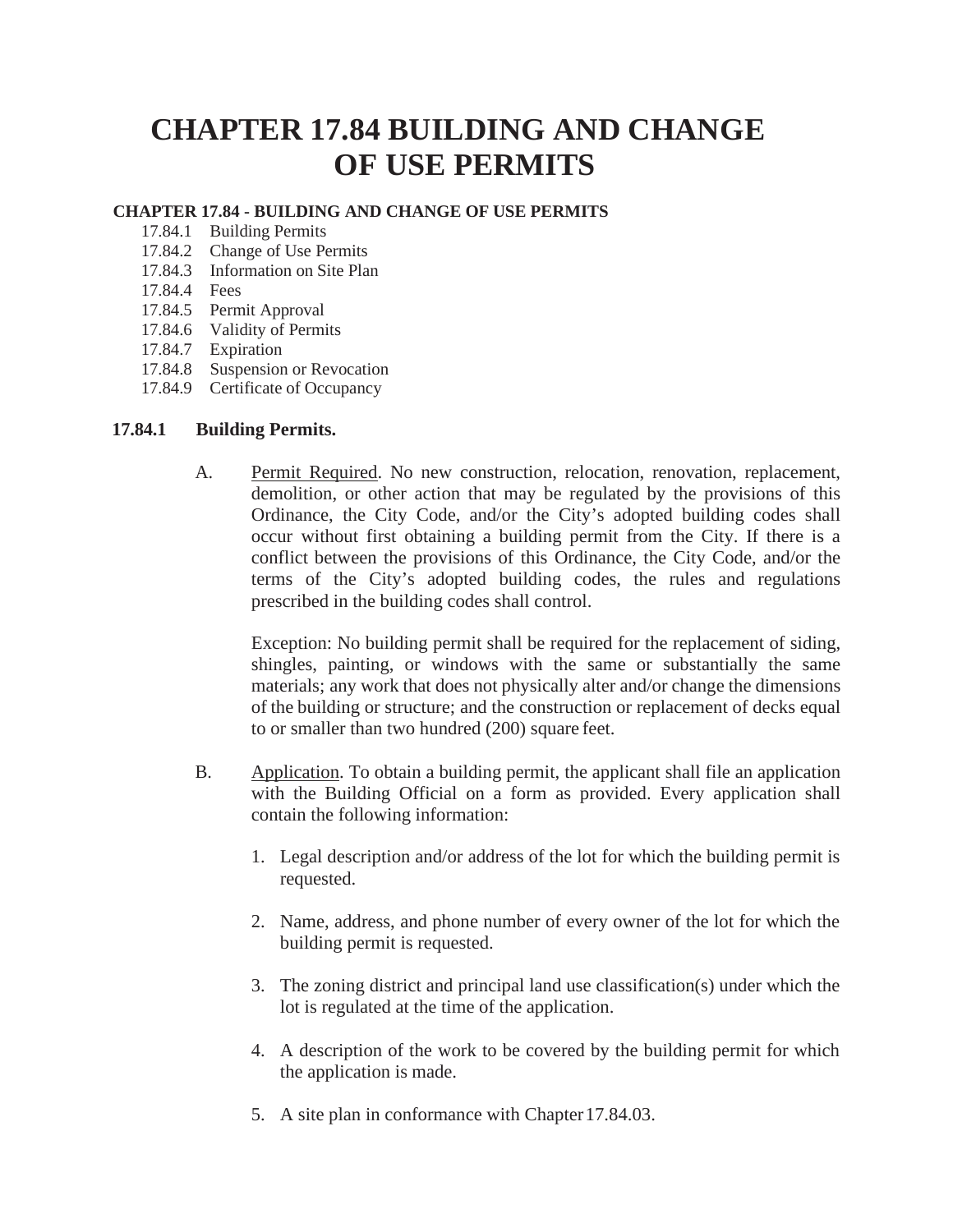## **CHAPTER 17.84 BUILDING AND CHANGE OF USE PERMITS**

## **CHAPTER 17.84 - BUILDING AND CHANGE OF USE PERMITS**

- 17.84.1 Building Permits
- 17.84.2 Change of Use Permits
- 17.84.3 Information on Site Plan
- 17.84.4 Fees
- 17.84.5 Permit Approval
- 17.84.6 Validity of Permits
- 17.84.7 Expiration
- 17.84.8 Suspension or Revocation
- 17.84.9 Certificate of Occupancy

## **17.84.1 Building Permits.**

A. Permit Required. No new construction, relocation, renovation, replacement, demolition, or other action that may be regulated by the provisions of this Ordinance, the City Code, and/or the City's adopted building codes shall occur without first obtaining a building permit from the City. If there is a conflict between the provisions of this Ordinance, the City Code, and/or the terms of the City's adopted building codes, the rules and regulations prescribed in the building codes shall control.

Exception: No building permit shall be required for the replacement of siding, shingles, painting, or windows with the same or substantially the same materials; any work that does not physically alter and/or change the dimensions of the building or structure; and the construction or replacement of decks equal to or smaller than two hundred (200) square feet.

- B. Application. To obtain a building permit, the applicant shall file an application with the Building Official on a form as provided. Every application shall contain the following information:
	- 1. Legal description and/or address of the lot for which the building permit is requested.
	- 2. Name, address, and phone number of every owner of the lot for which the building permit is requested.
	- 3. The zoning district and principal land use classification(s) under which the lot is regulated at the time of the application.
	- 4. A description of the work to be covered by the building permit for which the application is made.
	- 5. A site plan in conformance with Chapter 17.84.03.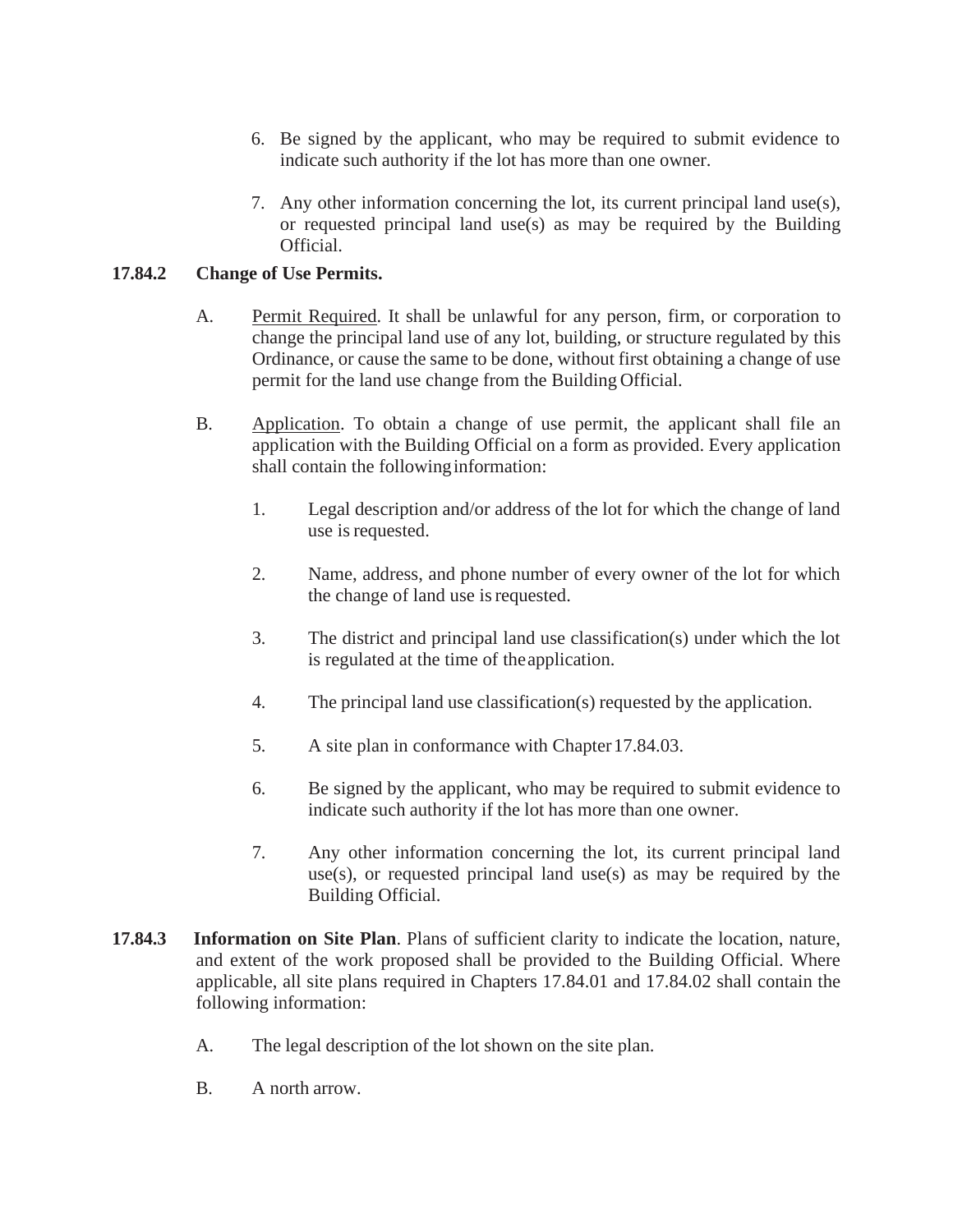- 6. Be signed by the applicant, who may be required to submit evidence to indicate such authority if the lot has more than one owner.
- 7. Any other information concerning the lot, its current principal land use(s), or requested principal land use(s) as may be required by the Building Official.

## **17.84.2 Change of Use Permits.**

- A. Permit Required. It shall be unlawful for any person, firm, or corporation to change the principal land use of any lot, building, or structure regulated by this Ordinance, or cause the same to be done, without first obtaining a change of use permit for the land use change from the Building Official.
- B. Application. To obtain a change of use permit, the applicant shall file an application with the Building Official on a form as provided. Every application shall contain the followinginformation:
	- 1. Legal description and/or address of the lot for which the change of land use is requested.
	- 2. Name, address, and phone number of every owner of the lot for which the change of land use is requested.
	- 3. The district and principal land use classification(s) under which the lot is regulated at the time of theapplication.
	- 4. The principal land use classification(s) requested by the application.
	- 5. A site plan in conformance with Chapter17.84.03.
	- 6. Be signed by the applicant, who may be required to submit evidence to indicate such authority if the lot has more than one owner.
	- 7. Any other information concerning the lot, its current principal land use(s), or requested principal land use(s) as may be required by the Building Official.
- **17.84.3 Information on Site Plan**. Plans of sufficient clarity to indicate the location, nature, and extent of the work proposed shall be provided to the Building Official. Where applicable, all site plans required in Chapters 17.84.01 and 17.84.02 shall contain the following information:
	- A. The legal description of the lot shown on the site plan.
	- B. A north arrow.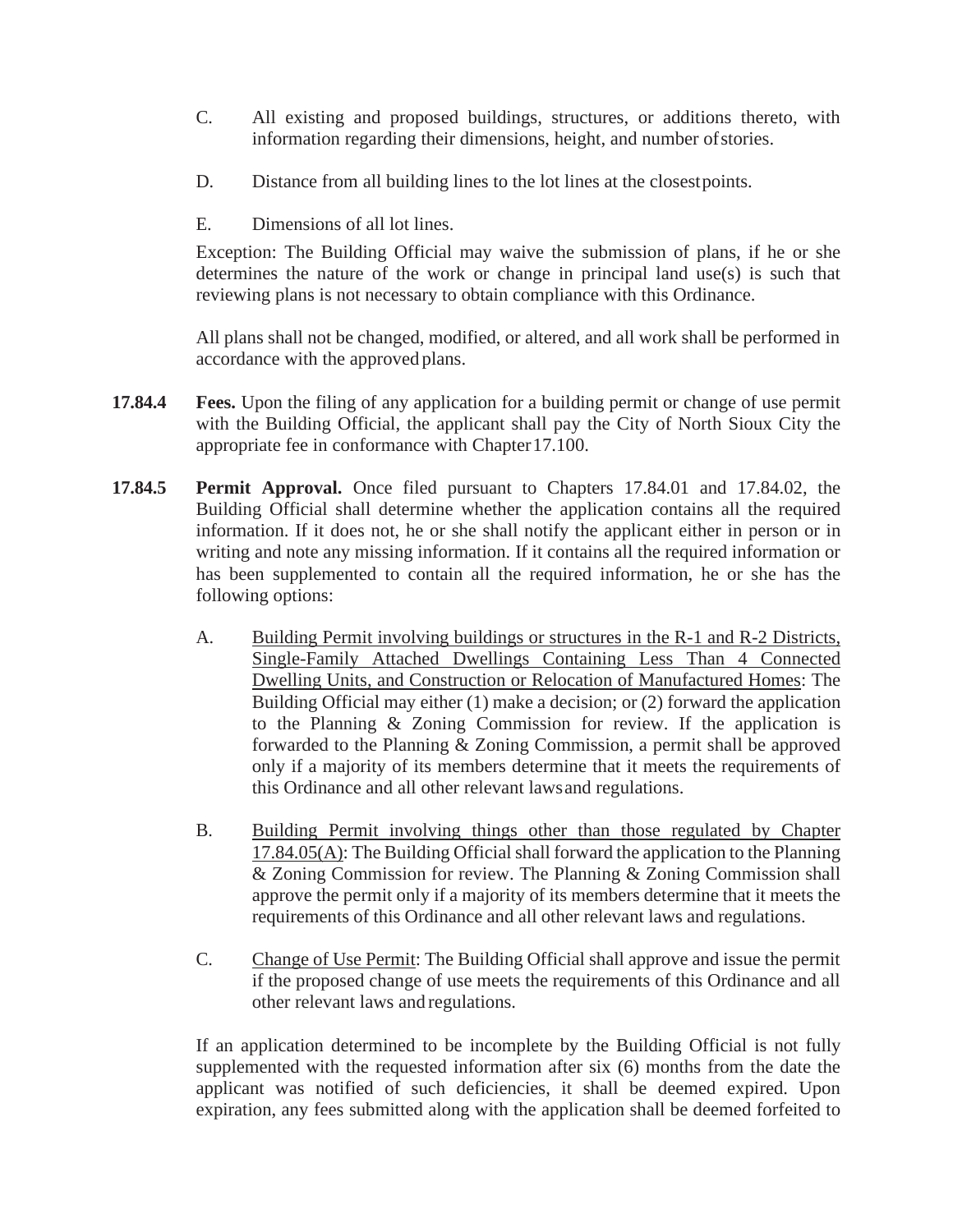- C. All existing and proposed buildings, structures, or additions thereto, with information regarding their dimensions, height, and number ofstories.
- D. Distance from all building lines to the lot lines at the closestpoints.
- E. Dimensions of all lot lines.

Exception: The Building Official may waive the submission of plans, if he or she determines the nature of the work or change in principal land use(s) is such that reviewing plans is not necessary to obtain compliance with this Ordinance.

All plans shall not be changed, modified, or altered, and all work shall be performed in accordance with the approved plans.

- **17.84.4 Fees.** Upon the filing of any application for a building permit or change of use permit with the Building Official, the applicant shall pay the City of North Sioux City the appropriate fee in conformance with Chapter17.100.
- **17.84.5 Permit Approval.** Once filed pursuant to Chapters 17.84.01 and 17.84.02, the Building Official shall determine whether the application contains all the required information. If it does not, he or she shall notify the applicant either in person or in writing and note any missing information. If it contains all the required information or has been supplemented to contain all the required information, he or she has the following options:
	- A. Building Permit involving buildings or structures in the R-1 and R-2 Districts, Single-Family Attached Dwellings Containing Less Than 4 Connected Dwelling Units, and Construction or Relocation of Manufactured Homes: The Building Official may either (1) make a decision; or (2) forward the application to the Planning & Zoning Commission for review. If the application is forwarded to the Planning & Zoning Commission, a permit shall be approved only if a majority of its members determine that it meets the requirements of this Ordinance and all other relevant lawsand regulations.
	- B. Building Permit involving things other than those regulated by Chapter  $17.84.05(A)$ : The Building Official shall forward the application to the Planning & Zoning Commission for review. The Planning & Zoning Commission shall approve the permit only if a majority of its members determine that it meets the requirements of this Ordinance and all other relevant laws and regulations.
	- C. Change of Use Permit: The Building Official shall approve and issue the permit if the proposed change of use meets the requirements of this Ordinance and all other relevant laws and regulations.

If an application determined to be incomplete by the Building Official is not fully supplemented with the requested information after six (6) months from the date the applicant was notified of such deficiencies, it shall be deemed expired. Upon expiration, any fees submitted along with the application shall be deemed forfeited to